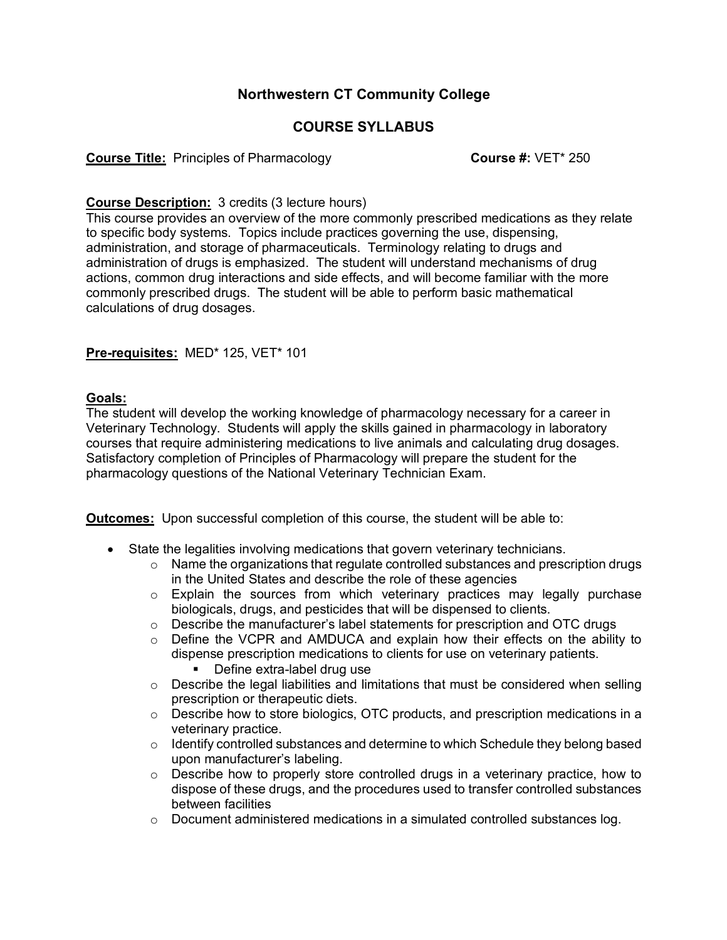# **Northwestern CT Community College**

# **COURSE SYLLABUS**

**Course Title:** Principles of Pharmacology **Course #: VET**\* 250

## **Course Description:** 3 credits (3 lecture hours)

This course provides an overview of the more commonly prescribed medications as they relate to specific body systems. Topics include practices governing the use, dispensing, administration, and storage of pharmaceuticals. Terminology relating to drugs and administration of drugs is emphasized. The student will understand mechanisms of drug actions, common drug interactions and side effects, and will become familiar with the more commonly prescribed drugs. The student will be able to perform basic mathematical calculations of drug dosages.

### **Pre-requisites:** MED\* 125, VET\* 101

### **Goals:**

The student will develop the working knowledge of pharmacology necessary for a career in Veterinary Technology. Students will apply the skills gained in pharmacology in laboratory courses that require administering medications to live animals and calculating drug dosages. Satisfactory completion of Principles of Pharmacology will prepare the student for the pharmacology questions of the National Veterinary Technician Exam.

**Outcomes:** Upon successful completion of this course, the student will be able to:

- State the legalities involving medications that govern veterinary technicians.
	- $\circ$  Name the organizations that regulate controlled substances and prescription drugs in the United States and describe the role of these agencies
	- o Explain the sources from which veterinary practices may legally purchase biologicals, drugs, and pesticides that will be dispensed to clients.
	- $\circ$  Describe the manufacturer's label statements for prescription and OTC drugs
	- $\circ$  Define the VCPR and AMDUCA and explain how their effects on the ability to dispense prescription medications to clients for use on veterinary patients.
		- Define extra-label drug use
	- $\circ$  Describe the legal liabilities and limitations that must be considered when selling prescription or therapeutic diets.
	- $\circ$  Describe how to store biologics, OTC products, and prescription medications in a veterinary practice.
	- o Identify controlled substances and determine to which Schedule they belong based upon manufacturer's labeling.
	- $\circ$  Describe how to properly store controlled drugs in a veterinary practice, how to dispose of these drugs, and the procedures used to transfer controlled substances between facilities
	- $\circ$  Document administered medications in a simulated controlled substances log.